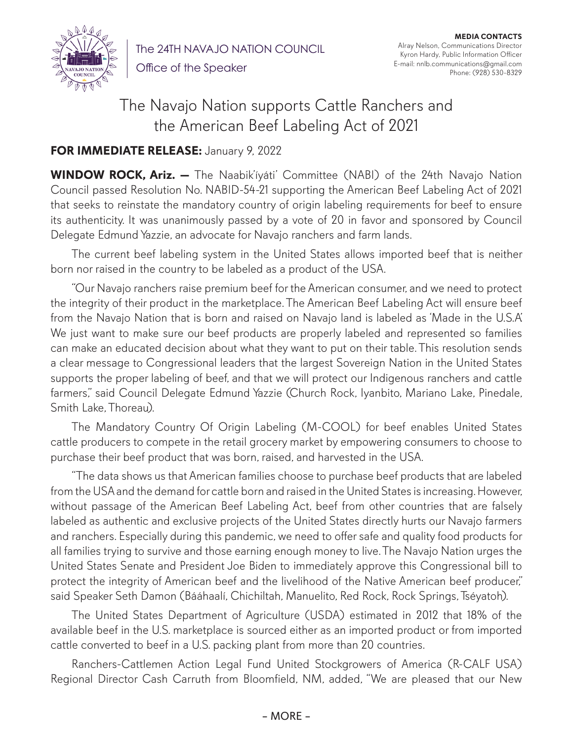

The 24TH NAVAJO NATION COUNCIL

Office of the Speaker

**MEDIA CONTACTS** Alray Nelson, Communications Director Kyron Hardy, Public Information Officer E-mail: nnlb.communications@gmail.com Phone: (928) 530-8329

## The Navajo Nation supports Cattle Ranchers and the American Beef Labeling Act of 2021

## **FOR IMMEDIATE RELEASE:** January 9, 2022

**WINDOW ROCK, Ariz. —** The Naabik'íyáti' Committee (NABI) of the 24th Navajo Nation Council passed Resolution No. NABID-54-21 supporting the American Beef Labeling Act of 2021 that seeks to reinstate the mandatory country of origin labeling requirements for beef to ensure its authenticity. It was unanimously passed by a vote of 20 in favor and sponsored by Council Delegate Edmund Yazzie, an advocate for Navajo ranchers and farm lands.

The current beef labeling system in the United States allows imported beef that is neither born nor raised in the country to be labeled as a product of the USA.

"Our Navajo ranchers raise premium beef for the American consumer, and we need to protect the integrity of their product in the marketplace. The American Beef Labeling Act will ensure beef from the Navajo Nation that is born and raised on Navajo land is labeled as 'Made in the U.S.A'. We just want to make sure our beef products are properly labeled and represented so families can make an educated decision about what they want to put on their table. This resolution sends a clear message to Congressional leaders that the largest Sovereign Nation in the United States supports the proper labeling of beef, and that we will protect our Indigenous ranchers and cattle farmers," said Council Delegate Edmund Yazzie (Church Rock, Iyanbito, Mariano Lake, Pinedale, Smith Lake, Thoreau).

The Mandatory Country Of Origin Labeling (M-COOL) for beef enables United States cattle producers to compete in the retail grocery market by empowering consumers to choose to purchase their beef product that was born, raised, and harvested in the USA.

"The data shows us that American families choose to purchase beef products that are labeled from the USA and the demand for cattle born and raised in the United States is increasing. However, without passage of the American Beef Labeling Act, beef from other countries that are falsely labeled as authentic and exclusive projects of the United States directly hurts our Navajo farmers and ranchers. Especially during this pandemic, we need to offer safe and quality food products for all families trying to survive and those earning enough money to live. The Navajo Nation urges the United States Senate and President Joe Biden to immediately approve this Congressional bill to protect the integrity of American beef and the livelihood of the Native American beef producer," said Speaker Seth Damon (Bááhaalí, Chichiltah, Manuelito, Red Rock, Rock Springs, Tséyatoh).

The United States Department of Agriculture (USDA) estimated in 2012 that 18% of the available beef in the U.S. marketplace is sourced either as an imported product or from imported cattle converted to beef in a U.S. packing plant from more than 20 countries.

Ranchers-Cattlemen Action Legal Fund United Stockgrowers of America (R-CALF USA) Regional Director Cash Carruth from Bloomfield, NM, added, "We are pleased that our New